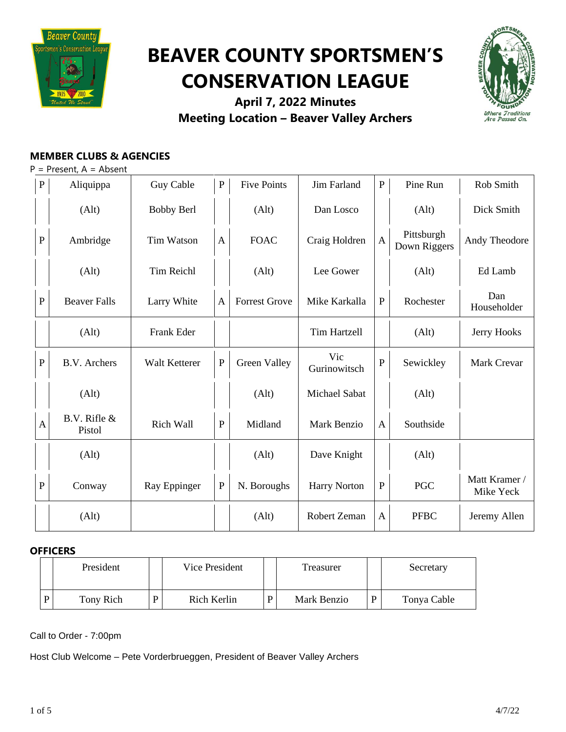

# **BEAVER COUNTY SPORTSMEN'S CONSERVATION LEAGUE**



**April 7, 2022 Minutes Meeting Location – Beaver Valley Archers**

# **MEMBER CLUBS & AGENCIES**

 $P =$  Present,  $A =$  Absent

|              | $\, {\bf P}$<br>Aliquippa | Guy Cable         | ${\bf P}$    | <b>Five Points</b>   | Jim Farland         | ${\bf P}$    | Pine Run                   | Rob Smith                  |
|--------------|---------------------------|-------------------|--------------|----------------------|---------------------|--------------|----------------------------|----------------------------|
|              | (Alt)                     | <b>Bobby Berl</b> |              | (Alt)                | Dan Losco           |              | (Alt)                      | Dick Smith                 |
| ${\bf P}$    | Ambridge                  | <b>Tim Watson</b> | $\mathbf{A}$ | <b>FOAC</b>          | Craig Holdren       | $\mathbf{A}$ | Pittsburgh<br>Down Riggers | Andy Theodore              |
|              | (Alt)                     | <b>Tim Reichl</b> |              | (Alt)                | Lee Gower           |              | (Alt)                      | Ed Lamb                    |
| $\, {\bf P}$ | <b>Beaver Falls</b>       | Larry White       | $\mathbf{A}$ | <b>Forrest Grove</b> | Mike Karkalla       | ${\bf P}$    | Rochester                  | Dan<br>Householder         |
|              | (Alt)                     | Frank Eder        |              |                      | <b>Tim Hartzell</b> |              | (Alt)                      | Jerry Hooks                |
| ${\bf P}$    | <b>B.V.</b> Archers       | Walt Ketterer     | ${\bf P}$    | Green Valley         | Vic<br>Gurinowitsch | ${\bf P}$    | Sewickley                  | Mark Crevar                |
|              | (Alt)                     |                   |              | (Alt)                | Michael Sabat       |              | (Alt)                      |                            |
| $\mathbf{A}$ | B.V. Rifle &<br>Pistol    | Rich Wall         | ${\bf P}$    | Midland              | Mark Benzio         | $\mathbf{A}$ | Southside                  |                            |
|              | (Alt)                     |                   |              | (Alt)                | Dave Knight         |              | (Alt)                      |                            |
| $\mathbf{P}$ | Conway                    | Ray Eppinger      | ${\bf P}$    | N. Boroughs          | <b>Harry Norton</b> | ${\bf P}$    | $\rm PGC$                  | Matt Kramer /<br>Mike Yeck |
|              | (Alt)                     |                   |              | (Alt)                | Robert Zeman        | $\mathsf{A}$ | <b>PFBC</b>                | Jeremy Allen               |

# **OFFICERS**

| President |   | Vice President | Treasurer   |   | Secretary   |
|-----------|---|----------------|-------------|---|-------------|
| Tony Rich | D | Rich Kerlin    | Mark Benzio | D | Tonya Cable |

Call to Order - 7:00pm

Host Club Welcome – Pete Vorderbrueggen, President of Beaver Valley Archers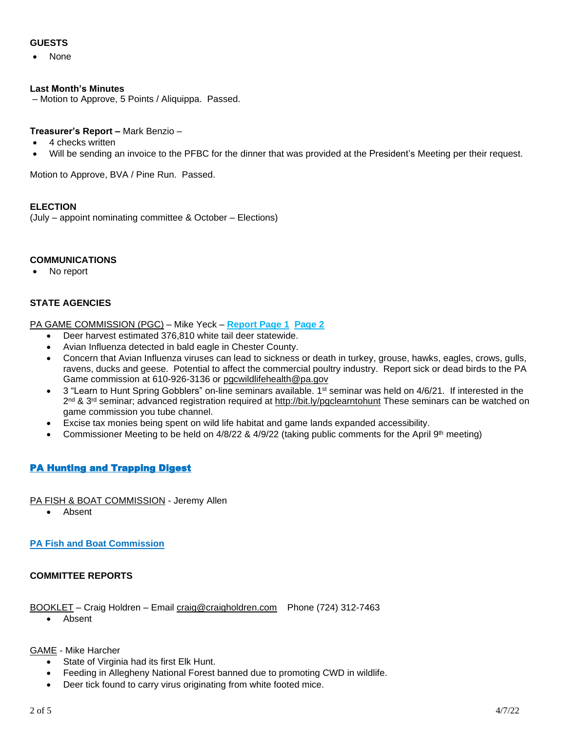# **GUESTS**

• None

#### **Last Month's Minutes**

– Motion to Approve, 5 Points / Aliquippa. Passed.

#### **Treasurer's Report –** Mark Benzio –

- 4 checks written
- Will be sending an invoice to the PFBC for the dinner that was provided at the President's Meeting per their request.

Motion to Approve, BVA / Pine Run. Passed.

#### **ELECTION**

(July – appoint nominating committee & October – Elections)

#### **COMMUNICATIONS**

No report

# **STATE AGENCIES**

PA GAME COMMISSION (PGC) – Mike Yeck – **[Report](https://drive.google.com/file/d/1jeshEFsdl17zYU1ZJhkXmgjM4x_4C-0S/view?usp=sharing) Page 1 [Page](https://drive.google.com/file/d/1JLom4bzXikoi5B5vEVg5Po9-vtHy06IU/view?usp=sharing) 2**

- Deer harvest estimated 376,810 white tail deer statewide.
- Avian Influenza detected in bald eagle in Chester County.
- Concern that Avian Influenza viruses can lead to sickness or death in turkey, grouse, hawks, eagles, crows, gulls, ravens, ducks and geese. Potential to affect the commercial poultry industry. Report sick or dead birds to the PA Game commission at 610-926-3136 or [pgcwildlifehealth@pa.gov](mailto:pgcwildlifehealth@pa.gov)
- $\bullet$  3 "Learn to Hunt Spring Gobblers" on-line seminars available. 1<sup>st</sup> seminar was held on 4/6/21. If interested in the 2<sup>nd</sup> & 3<sup>rd</sup> seminar; advanced registration required at <http://bit.ly/pgclearntohunt> These seminars can be watched on game commission you tube channel.
- Excise tax monies being spent on wild life habitat and game lands expanded accessibility.
- Commissioner Meeting to be held on  $4/8/22$  &  $4/9/22$  (taking public comments for the April 9<sup>th</sup> meeting)

# [PA Hunting and Trapping Digest](http://read.nxtbook.com/pgc/huntingtrapping/20212022/cover.html)

PA FISH & BOAT COMMISSION - Jeremy Allen

• Absent

# **PA Fish and Boat [Commission](https://www.fishandboat.com/Fish/FishingLicense/Pages/BuyAFishingLicense.aspx)**

# **COMMITTEE REPORTS**

#### BOOKLET – Craig Holdren – Email [craig@craigholdren.com](mailto:craig@craigholdren.com) Phone (724) 312-7463

• Absent

# GAME - Mike Harcher

- State of Virginia had its first Elk Hunt.
- Feeding in Allegheny National Forest banned due to promoting CWD in wildlife.
- Deer tick found to carry virus originating from white footed mice.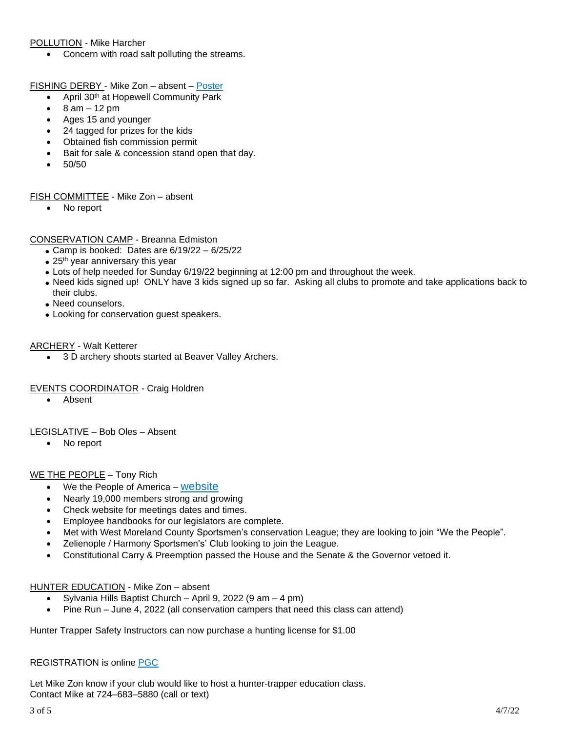#### POLLUTION - Mike Harcher

• Concern with road salt polluting the streams.

FISHING DERBY - Mike Zon - absent - [Poster](https://drive.google.com/file/d/10ZrkUTStJYvok-j3yAE2Wg0z1B5jL7Mj/view?usp=sharing)

- April 30th at Hopewell Community Park
- $\bullet$  8 am 12 pm
- Ages 15 and younger
- 24 tagged for prizes for the kids
- Obtained fish commission permit
- Bait for sale & concession stand open that day.
- 50/50

#### FISH COMMITTEE - Mike Zon – absent

• No report

#### CONSERVATION CAMP - Breanna Edmiston

- Camp is booked: Dates are  $6/19/22 6/25/22$
- $\bullet$  25<sup>th</sup> year anniversary this year
- Lots of help needed for Sunday 6/19/22 beginning at 12:00 pm and throughout the week.
- Need kids signed up! ONLY have 3 kids signed up so far. Asking all clubs to promote and take applications back to their clubs.
- Need counselors.
- Looking for conservation guest speakers.

#### ARCHERY - Walt Ketterer

• 3 D archery shoots started at Beaver Valley Archers.

#### EVENTS COORDINATOR - Craig Holdren

• Absent

LEGISLATIVE – Bob Oles – Absent

• No report

#### WE THE PEOPLE – Tony Rich

- We the People of America [website](https://www.wtpoa.net/)
- Nearly 19,000 members strong and growing
- Check website for meetings dates and times.
- Employee handbooks for our legislators are complete.
- Met with West Moreland County Sportsmen's conservation League; they are looking to join "We the People".
- Zelienople / Harmony Sportsmen's' Club looking to join the League.
- Constitutional Carry & Preemption passed the House and the Senate & the Governor vetoed it.

# HUNTER EDUCATION - Mike Zon – absent

- Sylvania Hills Baptist Church April 9, 2022 (9 am 4 pm)
- Pine Run June 4, 2022 (all conservation campers that need this class can attend)

Hunter Trapper Safety Instructors can now purchase a hunting license for \$1.00

#### REGISTRATION is online [PGC](https://www.register-ed.com/programs/25?utm_source=HTE_Class_Calendar_Page&utm_medium=page_link&utm_campaign=HTE_Course)

Let Mike Zon know if your club would like to host a hunter-trapper education class. Contact Mike at 724–683–5880 (call or text)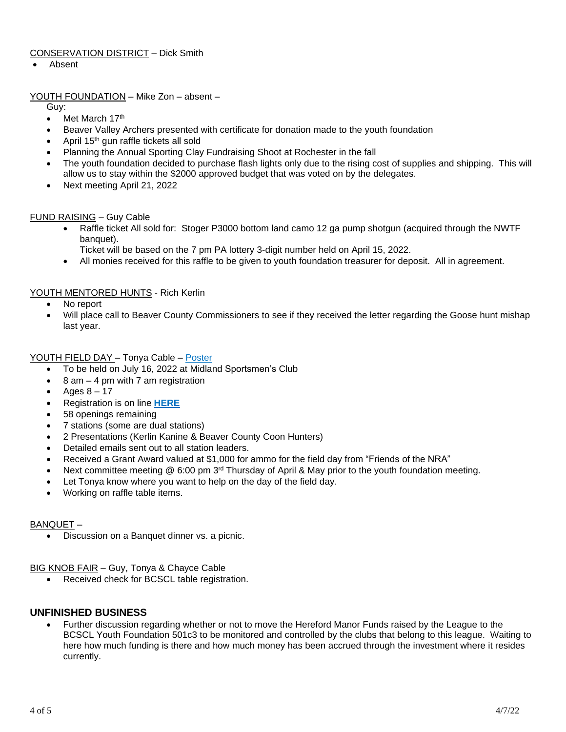# CONSERVATION DISTRICT – Dick Smith

• Absent

#### YOUTH FOUNDATION – Mike Zon – absent –

Guy:

- Met March 17th
- Beaver Valley Archers presented with certificate for donation made to the youth foundation
- April 15<sup>th</sup> gun raffle tickets all sold
- Planning the Annual Sporting Clay Fundraising Shoot at Rochester in the fall
- The youth foundation decided to purchase flash lights only due to the rising cost of supplies and shipping. This will allow us to stay within the \$2000 approved budget that was voted on by the delegates.
- Next meeting April 21, 2022

#### FUND RAISING – Guy Cable

• Raffle ticket All sold for: Stoger P3000 bottom land camo 12 ga pump shotgun (acquired through the NWTF banquet).

Ticket will be based on the 7 pm PA lottery 3-digit number held on April 15, 2022.

• All monies received for this raffle to be given to youth foundation treasurer for deposit. All in agreement.

#### YOUTH MENTORED HUNTS - Rich Kerlin

- No report
- Will place call to Beaver County Commissioners to see if they received the letter regarding the Goose hunt mishap last year.

#### YOUTH FIELD DAY – Tonya Cable – [Poster](https://drive.google.com/file/d/1i0n4afOanIeXPaD2e_D2duhibIyNpWww/view?usp=sharing)

- To be held on July 16, 2022 at Midland Sportsmen's Club
- 8 am 4 pm with 7 am registration
- Ages 8 17
- Registration is on line **[HERE](https://www.register-ed.com/events/view/178825)**
- 58 openings remaining
- 7 stations (some are dual stations)
- 2 Presentations (Kerlin Kanine & Beaver County Coon Hunters)
- Detailed emails sent out to all station leaders.
- Received a Grant Award valued at \$1,000 for ammo for the field day from "Friends of the NRA"
- Next committee meeting  $@$  6:00 pm  $3<sup>rd</sup>$  Thursday of April & May prior to the youth foundation meeting.
- Let Tonya know where you want to help on the day of the field day.
- Working on raffle table items.

#### BANQUET –

• Discussion on a Banquet dinner vs. a picnic.

#### BIG KNOB FAIR – Guy, Tonya & Chayce Cable

• Received check for BCSCL table registration.

# **UNFINISHED BUSINESS**

• Further discussion regarding whether or not to move the Hereford Manor Funds raised by the League to the BCSCL Youth Foundation 501c3 to be monitored and controlled by the clubs that belong to this league. Waiting to here how much funding is there and how much money has been accrued through the investment where it resides currently.